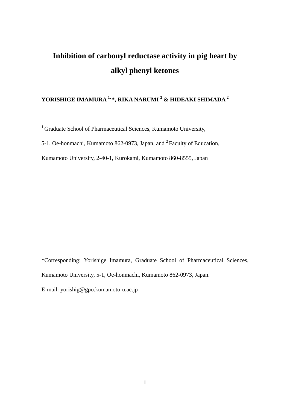## **Inhibition of carbonyl reductase activity in pig heart by alkyl phenyl ketones**

## **YORISHIGE IMAMURA 1, \*, RIKA NARUMI 2 & HIDEAKI SHIMADA 2**

<sup>1</sup> Graduate School of Pharmaceutical Sciences, Kumamoto University,

5-1, Oe-honmachi, Kumamoto 862-0973, Japan, and <sup>2</sup> Faculty of Education,

Kumamoto University, 2-40-1, Kurokami, Kumamoto 860-8555, Japan

\*Corresponding: Yorishige Imamura, Graduate School of Pharmaceutical Sciences, Kumamoto University, 5-1, Oe-honmachi, Kumamoto 862-0973, Japan.

E-mail: yorishig@gpo.kumamoto-u.ac.jp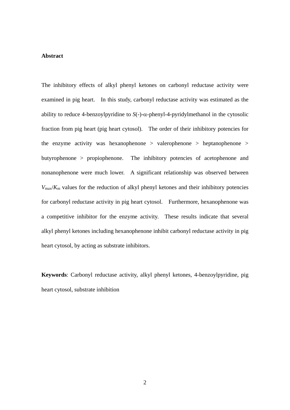## **Abstract**

The inhibitory effects of alkyl phenyl ketones on carbonyl reductase activity were examined in pig heart. In this study, carbonyl reductase activity was estimated as the ability to reduce 4-benzoylpyridine to  $S(-)$ - $\alpha$ -phenyl-4-pyridylmethanol in the cytosolic fraction from pig heart (pig heart cytosol). The order of their inhibitory potencies for the enzyme activity was hexanophenone > valerophenone > heptanophenone > butyrophenone > propiophenone. The inhibitory potencies of acetophenone and nonanophenone were much lower. A significant relationship was observed between  $V_{\text{max}}/K_{\text{m}}$  values for the reduction of alkyl phenyl ketones and their inhibitory potencies for carbonyl reductase activity in pig heart cytosol. Furthermore, hexanophenone was a competitive inhibitor for the enzyme activity. These results indicate that several alkyl phenyl ketones including hexanophenone inhibit carbonyl reductase activity in pig heart cytosol, by acting as substrate inhibitors.

**Keywords**: Carbonyl reductase activity, alkyl phenyl ketones, 4-benzoylpyridine, pig heart cytosol, substrate inhibition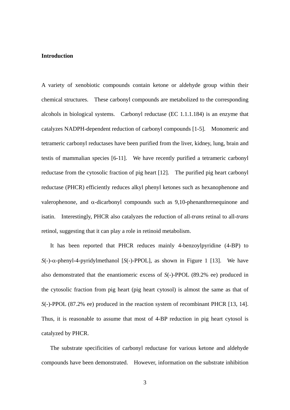#### **Introduction**

A variety of xenobiotic compounds contain ketone or aldehyde group within their chemical structures. These carbonyl compounds are metabolized to the corresponding alcohols in biological systems. Carbonyl reductase (EC 1.1.1.184) is an enzyme that catalyzes NADPH-dependent reduction of carbonyl compounds [1-5]. Monomeric and tetrameric carbonyl reductases have been purified from the liver, kidney, lung, brain and testis of mammalian species [6-11]. We have recently purified a tetrameric carbonyl reductase from the cytosolic fraction of pig heart [12]. The purified pig heart carbonyl reductase (PHCR) efficiently reduces alkyl phenyl ketones such as hexanophenone and valerophenone, and  $\alpha$ -dicarbonyl compounds such as 9,10-phenanthrenequinone and isatin. Interestingly, PHCR also catalyzes the reduction of all-*trans* retinal to all-*trans* retinol, suggesting that it can play a role in retinoid metabolism.

 It has been reported that PHCR reduces mainly 4-benzoylpyridine (4-BP) to  $S(-)$ - $\alpha$ -phenyl-4-pyridylmethanol [*S*(-)-PPOL], as shown in Figure 1 [13]. We have also demonstrated that the enantiomeric excess of *S*(-)-PPOL (89.2% ee) produced in the cytosolic fraction from pig heart (pig heart cytosol) is almost the same as that of *S*(-)-PPOL (87.2% ee) produced in the reaction system of recombinant PHCR [13, 14]. Thus, it is reasonable to assume that most of 4-BP reduction in pig heart cytosol is catalyzed by PHCR.

 The substrate specificities of carbonyl reductase for various ketone and aldehyde compounds have been demonstrated. However, information on the substrate inhibition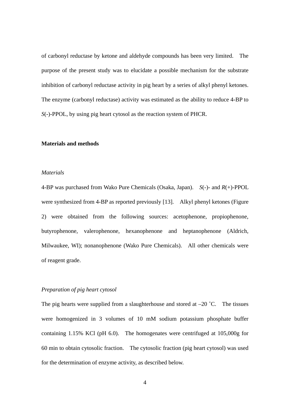of carbonyl reductase by ketone and aldehyde compounds has been very limited. The purpose of the present study was to elucidate a possible mechanism for the substrate inhibition of carbonyl reductase activity in pig heart by a series of alkyl phenyl ketones. The enzyme (carbonyl reductase) activity was estimated as the ability to reduce 4-BP to *S*(-)-PPOL, by using pig heart cytosol as the reaction system of PHCR.

#### **Materials and methods**

#### *Materials*

4-BP was purchased from Wako Pure Chemicals (Osaka, Japan). *S*(-)- and *R*(+)-PPOL were synthesized from 4-BP as reported previously [13]. Alkyl phenyl ketones (Figure 2) were obtained from the following sources: acetophenone, propiophenone, butyrophenone, valerophenone, hexanophenone and heptanophenone (Aldrich, Milwaukee, WI); nonanophenone (Wako Pure Chemicals). All other chemicals were of reagent grade.

#### *Preparation of pig heart cytosol*

The pig hearts were supplied from a slaughterhouse and stored at  $-20$  °C. The tissues were homogenized in 3 volumes of 10 mM sodium potassium phosphate buffer containing 1.15% KCl (pH 6.0). The homogenates were centrifuged at 105,000g for 60 min to obtain cytosolic fraction. The cytosolic fraction (pig heart cytosol) was used for the determination of enzyme activity, as described below.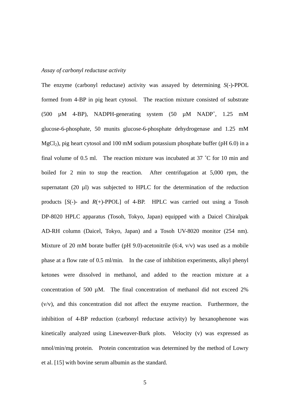#### *Assay of carbonyl reductase activity*

The enzyme (carbonyl reductase) activity was assayed by determining *S*(-)-PPOL formed from 4-BP in pig heart cytosol. The reaction mixture consisted of substrate (500  $\mu$ M 4-BP), NADPH-generating system (50  $\mu$ M NADP<sup>+</sup>, 1.25 mM glucose-6-phosphate, 50 munits glucose-6-phosphate dehydrogenase and 1.25 mM  $MgCl<sub>2</sub>$ ), pig heart cytosol and 100 mM sodium potassium phosphate buffer (pH 6.0) in a final volume of 0.5 ml. The reaction mixture was incubated at 37 ˚C for 10 min and boiled for 2 min to stop the reaction. After centrifugation at 5,000 rpm, the supernatant (20 µl) was subjected to HPLC for the determination of the reduction products [*S*(-)- and *R*(+)-PPOL] of 4-BP. HPLC was carried out using a Tosoh DP-8020 HPLC apparatus (Tosoh, Tokyo, Japan) equipped with a Daicel Chiralpak AD-RH column (Daicel, Tokyo, Japan) and a Tosoh UV-8020 monitor (254 nm). Mixture of 20 mM borate buffer (pH 9.0)-acetonitrile (6:4,  $v/v$ ) was used as a mobile phase at a flow rate of 0.5 ml/min. In the case of inhibition experiments, alkyl phenyl ketones were dissolved in methanol, and added to the reaction mixture at a concentration of 500  $\mu$ M. The final concentration of methanol did not exceed 2% (v/v), and this concentration did not affect the enzyme reaction. Furthermore, the inhibition of 4-BP reduction (carbonyl reductase activity) by hexanophenone was kinetically analyzed using Lineweaver-Burk plots. Velocity (v) was expressed as nmol/min/mg protein. Protein concentration was determined by the method of Lowry et al. [15] with bovine serum albumin as the standard.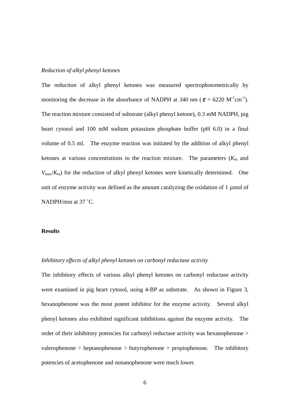#### *Reduction of alkyl phenyl ketones*

The reduction of alkyl phenyl ketones was measured spectrophotometrically by monitoring the decrease in the absorbance of NADPH at 340 nm ( $\varepsilon = 6220 \text{ M}^{-1} \text{cm}^{-1}$ ). The reaction mixture consisted of substrate (alkyl phenyl ketone), 0.3 mM NADPH, pig heart cytosol and 100 mM sodium potassium phosphate buffer (pH 6.0) in a final volume of 0.5 ml. The enzyme reaction was initiated by the addition of alkyl phenyl ketones at various concentrations to the reaction mixture. The parameters  $(K<sub>m</sub>$  and  $V_{\text{max}}/K_{\text{m}}$ ) for the reduction of alkyl phenyl ketones were kinetically determined. One unit of enzyme activity was defined as the amount catalyzing the oxidation of  $1 \mu$ mol of NADPH/min at 37 ˚C.

#### **Results**

#### *Inhibitory effects of alkyl phenyl ketones on carbonyl reductase activity*

The inhibitory effects of various alkyl phenyl ketones on carbonyl reductase activity were examined in pig heart cytosol, using 4-BP as substrate. As shown in Figure 3, hexanophenone was the most potent inhibitor for the enzyme activity. Several alkyl phenyl ketones also exhibited significant inhibitions against the enzyme activity. The order of their inhibitory potencies for carbonyl reductase activity was hexanophenone > valerophenone  $>$  heptanophenone  $>$  butyrophenone  $>$  propiophenone. The inhibitory potencies of acetophenone and nonanophenone were much lower.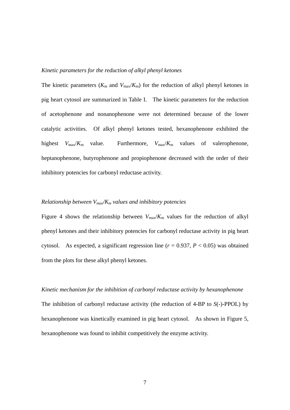#### *Kinetic parameters for the reduction of alkyl phenyl ketones*

The kinetic parameters ( $K_m$  and  $V_{\text{max}}/K_m$ ) for the reduction of alkyl phenyl ketones in pig heart cytosol are summarized in Table I. The kinetic parameters for the reduction of acetophenone and nonanophenone were not determined because of the lower catalytic activities. Of alkyl phenyl ketones tested, hexanophenone exhibited the highest  $V_{\text{max}}/K_{\text{m}}$  value. Furthermore,  $V_{\text{max}}/K_{\text{m}}$  values of valerophenone, heptanophenone, butyrophenone and propiophenone decreased with the order of their inhibitory potencies for carbonyl reductase activity.

## *Relationship between Vmax/Km values and inhibitory potencies*

Figure 4 shows the relationship between  $V_{\text{max}}/K_{\text{m}}$  values for the reduction of alkyl phenyl ketones and their inhibitory potencies for carbonyl reductase activity in pig heart cytosol. As expected, a significant regression line  $(r = 0.937, P < 0.05)$  was obtained from the plots for these alkyl phenyl ketones.

# *Kinetic mechanism for the inhibition of carbonyl reductase activity by hexanophenone*  The inhibition of carbonyl reductase activity (the reduction of 4-BP to *S*(-)-PPOL) by hexanophenone was kinetically examined in pig heart cytosol. As shown in Figure 5, hexanophenone was found to inhibit competitively the enzyme activity.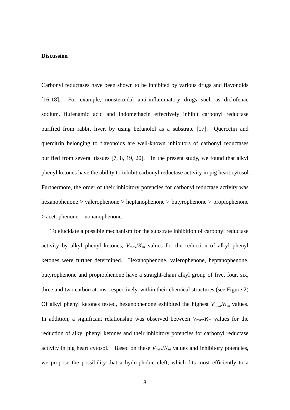#### **Discussion**

Carbonyl reductases have been shown to be inhibited by various drugs and flavonoids [16-18]. For example, nonsteroidal anti-inflammatory drugs such as diclofenac sodium, flufenamic acid and indomethacin effectively inhibit carbonyl reductase purified from rabbit liver, by using befunolol as a substrate [17]. Quercetin and quercitrin belonging to flavonoids are well-known inhibitors of carbonyl reductases purified from several tissues [7, 8, 19, 20]. In the present study, we found that alkyl phenyl ketones have the ability to inhibit carbonyl reductase activity in pig heart cytosol. Furthermore, the order of their inhibitory potencies for carbonyl reductase activity was hexanophenone > valerophenone > heptanophenone > butyrophenone > propiophenone  $\geq$  acetophenone = nonanophenone.

 To elucidate a possible mechanism for the substrate inhibition of carbonyl reductase activity by alkyl phenyl ketones,  $V_{\text{max}}/K_{\text{m}}$  values for the reduction of alkyl phenyl ketones were further determined. Hexanophenone, valerophenone, heptanophenone, butyrophenone and propiophenone have a straight-chain alkyl group of five, four, six, three and two carbon atoms, respectively, within their chemical structures (see Figure 2). Of alkyl phenyl ketones tested, hexanophenone exhibited the highest  $V_{\text{max}}/K_{\text{m}}$  values. In addition, a significant relationship was observed between  $V_{\text{max}}/K_{\text{m}}$  values for the reduction of alkyl phenyl ketones and their inhibitory potencies for carbonyl reductase activity in pig heart cytosol. Based on these  $V_{\text{max}}/K_{\text{m}}$  values and inhibitory potencies, we propose the possibility that a hydrophobic cleft, which fits most efficiently to a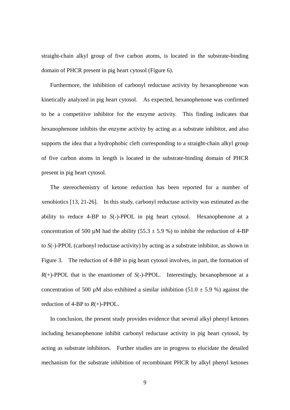straight-chain alkyl group of five carbon atoms, is located in the substrate-binding domain of PHCR present in pig heart cytosol (Figure 6).

 Furthermore, the inhibition of carbonyl reductase activity by hexanophenone was kinetically analyzed in pig heart cytosol. As expected, hexanophenone was confirmed to be a competitive inhibitor for the enzyme activity. This finding indicates that hexanophenone inhibits the enzyme activity by acting as a substrate inhibitor, and also supports the idea that a hydrophobic cleft corresponding to a straight-chain alkyl group of five carbon atoms in length is located in the substrate-binding domain of PHCR present in pig heart cytosol.

 The stereochemistry of ketone reduction has been reported for a number of xenobiotics [13, 21-26]. In this study, carbonyl reductase activity was estimated as the ability to reduce 4-BP to *S*(-)-PPOL in pig heart cytosol. Hexanophenone at a concentration of 500  $\mu$ M had the ability (55.3  $\pm$  5.9 %) to inhibit the reduction of 4-BP to *S*(-)-PPOL (carbonyl reductase activity) by acting as a substrate inhibitor, as shown in Figure 3. The reduction of 4-BP in pig heart cytosol involves, in part, the formation of *R*(+)-PPOL that is the enantiomer of *S*(-)-PPOL. Interestingly, hexanophenone at a concentration of 500  $\mu$ M also exhibited a similar inhibition (51.0  $\pm$  5.9 %) against the reduction of 4-BP to  $R(+)$ -PPOL.

 In conclusion, the present study provides evidence that several alkyl phenyl ketones including hexanophenone inhibit carbonyl reductase activity in pig heart cytosol, by acting as substrate inhibitors. Further studies are in progress to elucidate the detailed mechanism for the substrate inhibition of recombinant PHCR by alkyl phenyl ketones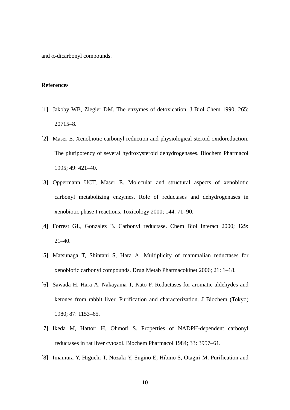and  $\alpha$ -dicarbonyl compounds.

## **References**

- [1] Jakoby WB, Ziegler DM. The enzymes of detoxication. J Biol Chem 1990; 265: 20715–8.
- [2] Maser E. Xenobiotic carbonyl reduction and physiological steroid oxidoreduction. The pluripotency of several hydroxysteroid dehydrogenases. Biochem Pharmacol 1995; 49: 421–40.
- [3] Oppermann UCT, Maser E. Molecular and structural aspects of xenobiotic carbonyl metabolizing enzymes. Role of reductases and dehydrogenases in xenobiotic phase I reactions. Toxicology 2000; 144: 71–90.
- [4] Forrest GL, Gonzalez B. Carbonyl reductase. Chem Biol Interact 2000; 129: 21–40.
- [5] Matsunaga T, Shintani S, Hara A. Multiplicity of mammalian reductases for xenobiotic carbonyl compounds. Drug Metab Pharmacokinet 2006; 21: 1–18.
- [6] Sawada H, Hara A, Nakayama T, Kato F. Reductases for aromatic aldehydes and ketones from rabbit liver. Purification and characterization. J Biochem (Tokyo) 1980; 87: 1153–65.
- [7] Ikeda M, Hattori H, Ohmori S. Properties of NADPH-dependent carbonyl reductases in rat liver cytosol. Biochem Pharmacol 1984; 33: 3957–61.
- [8] Imamura Y, Higuchi T, Nozaki Y, Sugino E, Hibino S, Otagiri M. Purification and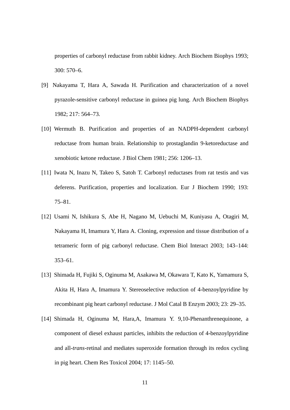properties of carbonyl reductase from rabbit kidney. Arch Biochem Biophys 1993; 300: 570–6.

- [9] Nakayama T, Hara A, Sawada H. Purification and characterization of a novel pyrazole-sensitive carbonyl reductase in guinea pig lung. Arch Biochem Biophys 1982; 217: 564–73.
- [10] Wermuth B. Purification and properties of an NADPH-dependent carbonyl reductase from human brain. Relationship to prostaglandin 9-ketoreductase and xenobiotic ketone reductase. J Biol Chem 1981; 256: 1206–13.
- [11] Iwata N, Inazu N, Takeo S, Satoh T. Carbonyl reductases from rat testis and vas deferens. Purification, properties and localization. Eur J Biochem 1990; 193: 75–81.
- [12] Usami N, Ishikura S, Abe H, Nagano M, Uebuchi M, Kuniyasu A, Otagiri M, Nakayama H, Imamura Y, Hara A. Cloning, expression and tissue distribution of a tetrameric form of pig carbonyl reductase. Chem Biol Interact 2003; 143–144: 353–61.
- [13] Shimada H, Fujiki S, Oginuma M, Asakawa M, Okawara T, Kato K, Yamamura S, Akita H, Hara A, Imamura Y. Stereoselective reduction of 4-benzoylpyridine by recombinant pig heart carbonyl reductase. J Mol Catal B Enzym 2003; 23: 29–35.
- [14] Shimada H, Oginuma M, Hara,A, Imamura Y. 9,10-Phenanthrenequinone, a component of diesel exhaust particles, inhibits the reduction of 4-benzoylpyridine and all-*trans*-retinal and mediates superoxide formation through its redox cycling in pig heart. Chem Res Toxicol 2004; 17: 1145–50.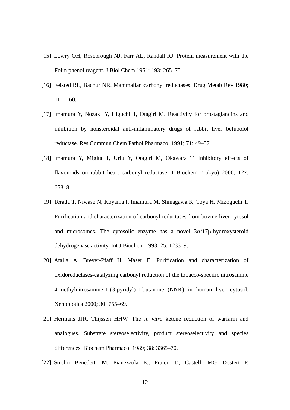- [15] Lowry OH, Rosebrough NJ, Farr AL, Randall RJ. Protein measurement with the Folin phenol reagent. J Biol Chem 1951; 193: 265–75.
- [16] Felsted RL, Bachur NR. Mammalian carbonyl reductases. Drug Metab Rev 1980;  $11: 1-60.$
- [17] Imamura Y, Nozaki Y, Higuchi T, Otagiri M. Reactivity for prostaglandins and inhibition by nonsteroidal anti-inflammatory drugs of rabbit liver befubolol reductase. Res Commun Chem Pathol Pharmacol 1991; 71: 49–57.
- [18] Imamura Y, Migita T, Uriu Y, Otagiri M, Okawara T. Inhibitory effects of flavonoids on rabbit heart carbonyl reductase. J Biochem (Tokyo) 2000; 127: 653–8.
- [19] Terada T, Niwase N, Koyama I, Imamura M, Shinagawa K, Toya H, Mizoguchi T. Purification and characterization of carbonyl reductases from bovine liver cytosol and microsomes. The cytosolic enzyme has a novel  $3\alpha/17\beta$ -hydroxysteroid dehydrogenase activity. Int J Biochem 1993; 25: 1233–9.
- [20] Atalla A, Breyer-Pfaff H, Maser E. Purification and characterization of oxidoreductases-catalyzing carbonyl reduction of the tobacco-specific nitrosamine 4-methylnitrosamine-1-(3-pyridyl)-1-butanone (NNK) in human liver cytosol. Xenobiotica 2000; 30: 755–69.
- [21] Hermans JJR, Thijssen HHW. The *in vitro* ketone reduction of warfarin and analogues. Substrate stereoselectivity, product stereoselectivity and species differences. Biochem Pharmacol 1989; 38: 3365–70.
- [22] Strolin Benedetti M, Pianezzola E., Fraier, D, Castelli MG, Dostert P.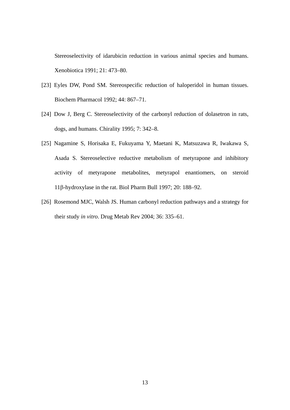Stereoselectivity of idarubicin reduction in various animal species and humans. Xenobiotica 1991; 21: 473–80.

- [23] Eyles DW, Pond SM. Stereospecific reduction of haloperidol in human tissues. Biochem Pharmacol 1992; 44: 867–71.
- [24] Dow J, Berg C. Stereoselectivity of the carbonyl reduction of dolasetron in rats, dogs, and humans. Chirality 1995; 7: 342–8.
- [25] Nagamine S, Horisaka E, Fukuyama Y, Maetani K, Matsuzawa R, Iwakawa S, Asada S. Stereoselective reductive metabolism of metyrapone and inhibitory activity of metyrapone metabolites, metyrapol enantiomers, on steroid  $11\beta$ -hydroxylase in the rat. Biol Pharm Bull 1997; 20: 188–92.
- [26] Rosemond MJC, Walsh JS. Human carbonyl reduction pathways and a strategy for their study *in vitro*. Drug Metab Rev 2004; 36: 335–61.